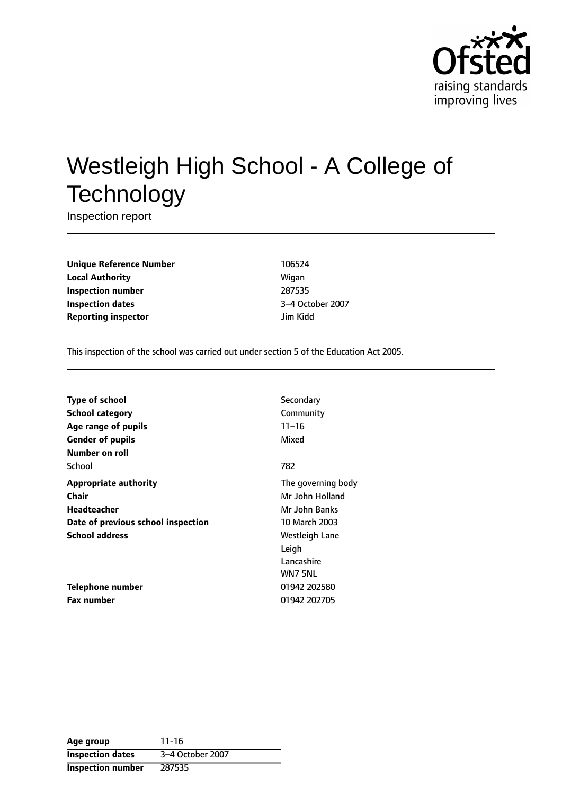

# Westleigh High School - A College of **Technology**

Inspection report

**Unique Reference Number** 106524 **Local Authority Migan Inspection number** 287535 **Inspection dates** 3-4 October 2007 **Reporting inspector discription** *lim Kidd* 

This inspection of the school was carried out under section 5 of the Education Act 2005.

| <b>Type of school</b>              | Secondary          |
|------------------------------------|--------------------|
| School category                    | Community          |
| Age range of pupils                | $11 - 16$          |
| <b>Gender of pupils</b>            | Mixed              |
| Number on roll                     |                    |
| School                             | 782                |
| <b>Appropriate authority</b>       | The governing body |
| <b>Chair</b>                       | Mr John Holland    |
| Headteacher                        | Mr John Banks      |
| Date of previous school inspection | 10 March 2003      |
| <b>School address</b>              | Westleigh Lane     |
|                                    | Leigh              |
|                                    | Lancashire         |
|                                    | WN7 5NL            |
| Telephone number                   | 01942 202580       |
| <b>Fax number</b>                  | 01942 202705       |
|                                    |                    |

| Age group                | $11 - 16$        |
|--------------------------|------------------|
| <b>Inspection dates</b>  | 3-4 October 2007 |
| <b>Inspection number</b> | 287535           |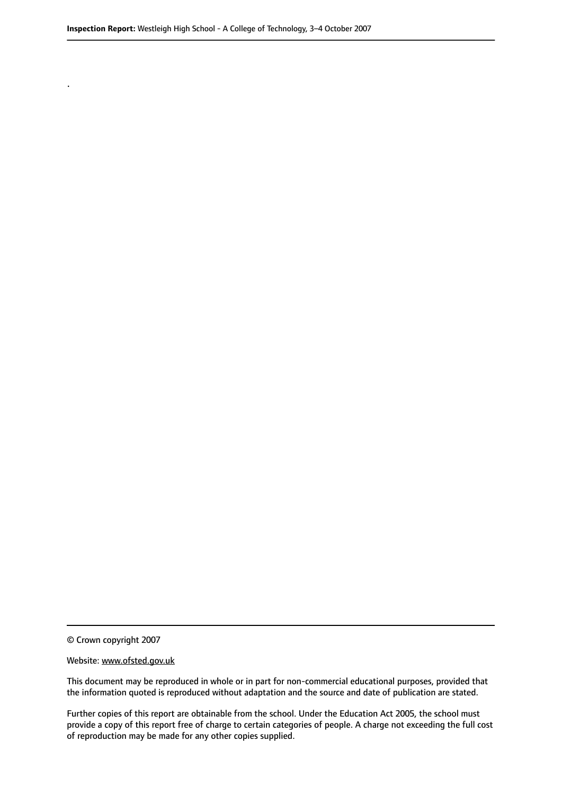© Crown copyright 2007

.

#### Website: www.ofsted.gov.uk

This document may be reproduced in whole or in part for non-commercial educational purposes, provided that the information quoted is reproduced without adaptation and the source and date of publication are stated.

Further copies of this report are obtainable from the school. Under the Education Act 2005, the school must provide a copy of this report free of charge to certain categories of people. A charge not exceeding the full cost of reproduction may be made for any other copies supplied.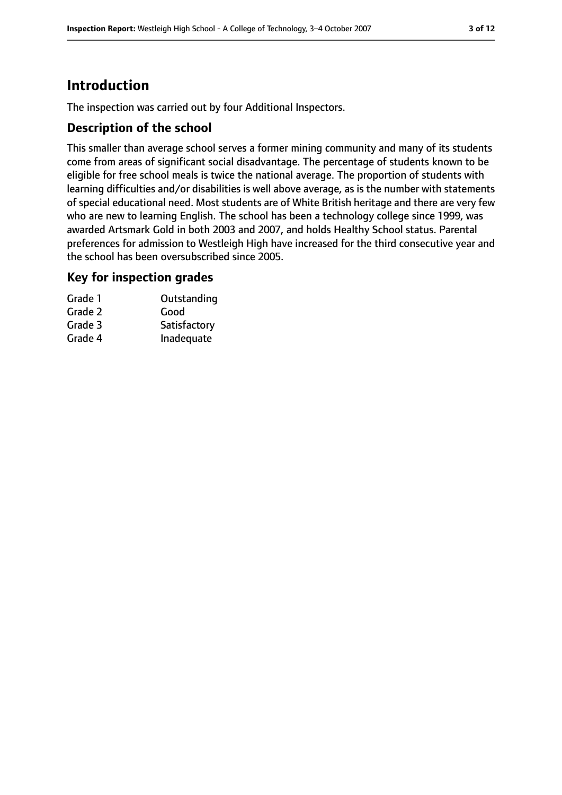## **Introduction**

The inspection was carried out by four Additional Inspectors.

#### **Description of the school**

This smaller than average school serves a former mining community and many of its students come from areas of significant social disadvantage. The percentage of students known to be eligible for free school meals is twice the national average. The proportion of students with learning difficulties and/or disabilities is well above average, as is the number with statements of special educational need. Most students are of White British heritage and there are very few who are new to learning English. The school has been a technology college since 1999, was awarded Artsmark Gold in both 2003 and 2007, and holds Healthy School status. Parental preferences for admission to Westleigh High have increased for the third consecutive year and the school has been oversubscribed since 2005.

#### **Key for inspection grades**

| Grade 1 | Outstanding  |
|---------|--------------|
| Grade 2 | Good         |
| Grade 3 | Satisfactory |
| Grade 4 | Inadequate   |
|         |              |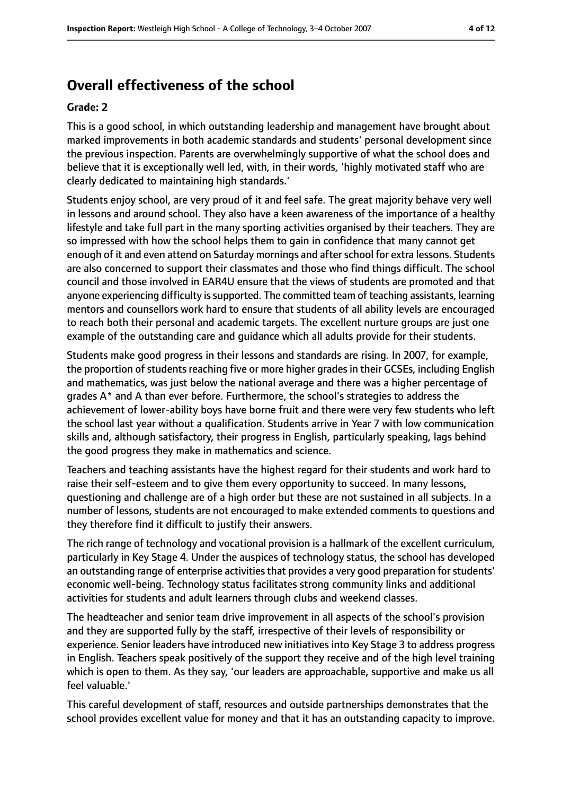## **Overall effectiveness of the school**

#### **Grade: 2**

This is a good school, in which outstanding leadership and management have brought about marked improvements in both academic standards and students' personal development since the previous inspection. Parents are overwhelmingly supportive of what the school does and believe that it is exceptionally well led, with, in their words, 'highly motivated staff who are clearly dedicated to maintaining high standards.'

Students enjoy school, are very proud of it and feel safe. The great majority behave very well in lessons and around school. They also have a keen awareness of the importance of a healthy lifestyle and take full part in the many sporting activities organised by their teachers. They are so impressed with how the school helps them to gain in confidence that many cannot get enough of it and even attend on Saturday mornings and after school for extra lessons. Students are also concerned to support their classmates and those who find things difficult. The school council and those involved in EAR4U ensure that the views of students are promoted and that anyone experiencing difficulty is supported. The committed team of teaching assistants, learning mentors and counsellors work hard to ensure that students of all ability levels are encouraged to reach both their personal and academic targets. The excellent nurture groups are just one example of the outstanding care and guidance which all adults provide for their students.

Students make good progress in their lessons and standards are rising. In 2007, for example, the proportion of students reaching five or more higher grades in their GCSEs, including English and mathematics, was just below the national average and there was a higher percentage of grades A\* and A than ever before. Furthermore, the school's strategies to address the achievement of lower-ability boys have borne fruit and there were very few students who left the school last year without a qualification. Students arrive in Year 7 with low communication skills and, although satisfactory, their progress in English, particularly speaking, lags behind the good progress they make in mathematics and science.

Teachers and teaching assistants have the highest regard for their students and work hard to raise their self-esteem and to give them every opportunity to succeed. In many lessons, questioning and challenge are of a high order but these are not sustained in all subjects. In a number of lessons, students are not encouraged to make extended comments to questions and they therefore find it difficult to justify their answers.

The rich range of technology and vocational provision is a hallmark of the excellent curriculum, particularly in Key Stage 4. Under the auspices of technology status, the school has developed an outstanding range of enterprise activities that provides a very good preparation for students' economic well-being. Technology status facilitates strong community links and additional activities for students and adult learners through clubs and weekend classes.

The headteacher and senior team drive improvement in all aspects of the school's provision and they are supported fully by the staff, irrespective of their levels of responsibility or experience. Senior leaders have introduced new initiatives into Key Stage 3 to address progress in English. Teachers speak positively of the support they receive and of the high level training which is open to them. As they say, 'our leaders are approachable, supportive and make us all feel valuable.'

This careful development of staff, resources and outside partnerships demonstrates that the school provides excellent value for money and that it has an outstanding capacity to improve.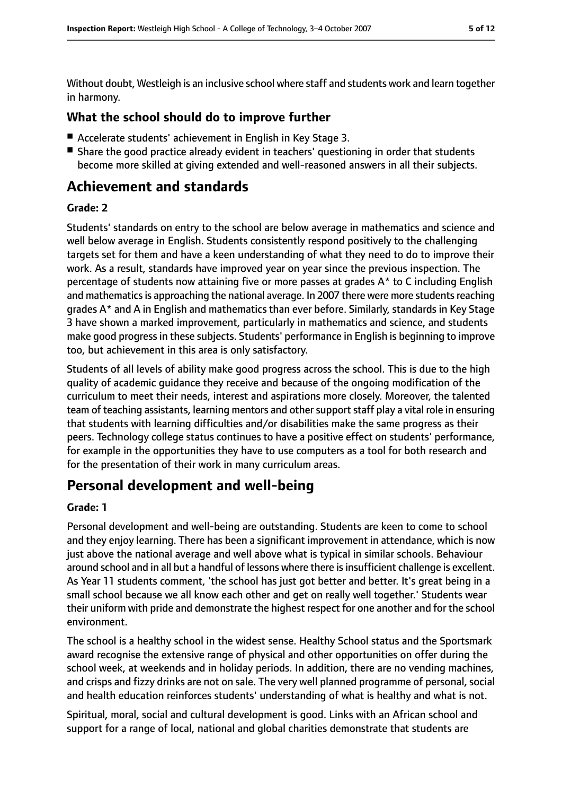Without doubt, Westleigh is an inclusive school where staff and students work and learn together in harmony.

#### **What the school should do to improve further**

- Accelerate students' achievement in English in Key Stage 3.
- Share the good practice already evident in teachers' questioning in order that students become more skilled at giving extended and well-reasoned answers in all their subjects.

## **Achievement and standards**

#### **Grade: 2**

Students' standards on entry to the school are below average in mathematics and science and well below average in English. Students consistently respond positively to the challenging targets set for them and have a keen understanding of what they need to do to improve their work. As a result, standards have improved year on year since the previous inspection. The percentage of students now attaining five or more passes at grades A\* to C including English and mathematics is approaching the national average. In 2007 there were more students reaching grades A\* and A in English and mathematics than ever before. Similarly, standards in Key Stage 3 have shown a marked improvement, particularly in mathematics and science, and students make good progressin these subjects. Students' performance in English is beginning to improve too, but achievement in this area is only satisfactory.

Students of all levels of ability make good progress across the school. This is due to the high quality of academic guidance they receive and because of the ongoing modification of the curriculum to meet their needs, interest and aspirations more closely. Moreover, the talented team of teaching assistants, learning mentors and other support staff play a vital role in ensuring that students with learning difficulties and/or disabilities make the same progress as their peers. Technology college status continues to have a positive effect on students' performance, for example in the opportunities they have to use computers as a tool for both research and for the presentation of their work in many curriculum areas.

## **Personal development and well-being**

#### **Grade: 1**

Personal development and well-being are outstanding. Students are keen to come to school and they enjoy learning. There has been a significant improvement in attendance, which is now just above the national average and well above what is typical in similar schools. Behaviour around school and in all but a handful of lessons where there is insufficient challenge is excellent. As Year 11 students comment, 'the school has just got better and better. It's great being in a small school because we all know each other and get on really well together.' Students wear their uniform with pride and demonstrate the highest respect for one another and for the school environment.

The school is a healthy school in the widest sense. Healthy School status and the Sportsmark award recognise the extensive range of physical and other opportunities on offer during the school week, at weekends and in holiday periods. In addition, there are no vending machines, and crisps and fizzy drinks are not on sale. The very well planned programme of personal, social and health education reinforces students' understanding of what is healthy and what is not.

Spiritual, moral, social and cultural development is good. Links with an African school and support for a range of local, national and global charities demonstrate that students are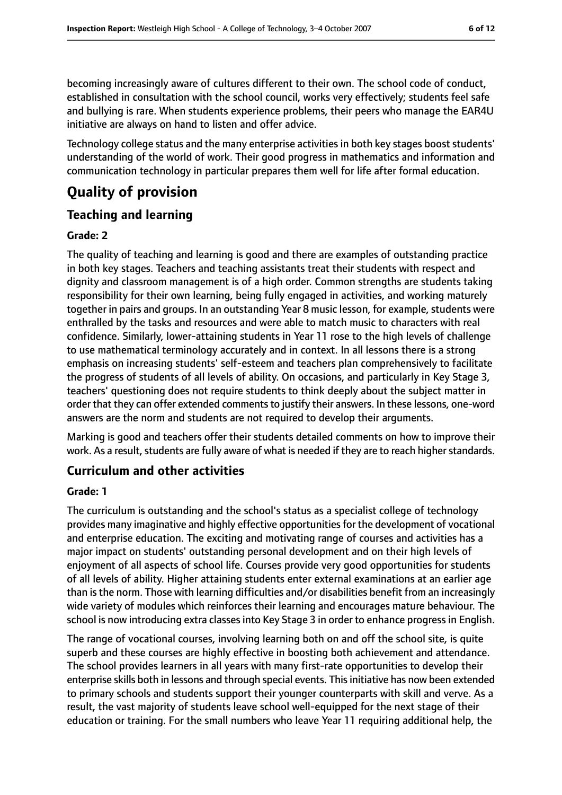becoming increasingly aware of cultures different to their own. The school code of conduct, established in consultation with the school council, works very effectively; students feel safe and bullying is rare. When students experience problems, their peers who manage the EAR4U initiative are always on hand to listen and offer advice.

Technology college status and the many enterprise activities in both key stages boost students' understanding of the world of work. Their good progress in mathematics and information and communication technology in particular prepares them well for life after formal education.

## **Quality of provision**

#### **Teaching and learning**

#### **Grade: 2**

The quality of teaching and learning is good and there are examples of outstanding practice in both key stages. Teachers and teaching assistants treat their students with respect and dignity and classroom management is of a high order. Common strengths are students taking responsibility for their own learning, being fully engaged in activities, and working maturely together in pairs and groups. In an outstanding Year 8 music lesson, for example, students were enthralled by the tasks and resources and were able to match music to characters with real confidence. Similarly, lower-attaining students in Year 11 rose to the high levels of challenge to use mathematical terminology accurately and in context. In all lessons there is a strong emphasis on increasing students' self-esteem and teachers plan comprehensively to facilitate the progress of students of all levels of ability. On occasions, and particularly in Key Stage 3, teachers' questioning does not require students to think deeply about the subject matter in order that they can offer extended comments to justify their answers. In these lessons, one-word answers are the norm and students are not required to develop their arguments.

Marking is good and teachers offer their students detailed comments on how to improve their work. As a result, students are fully aware of what is needed if they are to reach higher standards.

#### **Curriculum and other activities**

#### **Grade: 1**

The curriculum is outstanding and the school's status as a specialist college of technology provides many imaginative and highly effective opportunities for the development of vocational and enterprise education. The exciting and motivating range of courses and activities has a major impact on students' outstanding personal development and on their high levels of enjoyment of all aspects of school life. Courses provide very good opportunities for students of all levels of ability. Higher attaining students enter external examinations at an earlier age than isthe norm. Those with learning difficulties and/or disabilities benefit from an increasingly wide variety of modules which reinforces their learning and encourages mature behaviour. The school is now introducing extra classesinto Key Stage 3 in order to enhance progressin English.

The range of vocational courses, involving learning both on and off the school site, is quite superb and these courses are highly effective in boosting both achievement and attendance. The school provides learners in all years with many first-rate opportunities to develop their enterprise skills both in lessons and through special events. This initiative has now been extended to primary schools and students support their younger counterparts with skill and verve. As a result, the vast majority of students leave school well-equipped for the next stage of their education or training. For the small numbers who leave Year 11 requiring additional help, the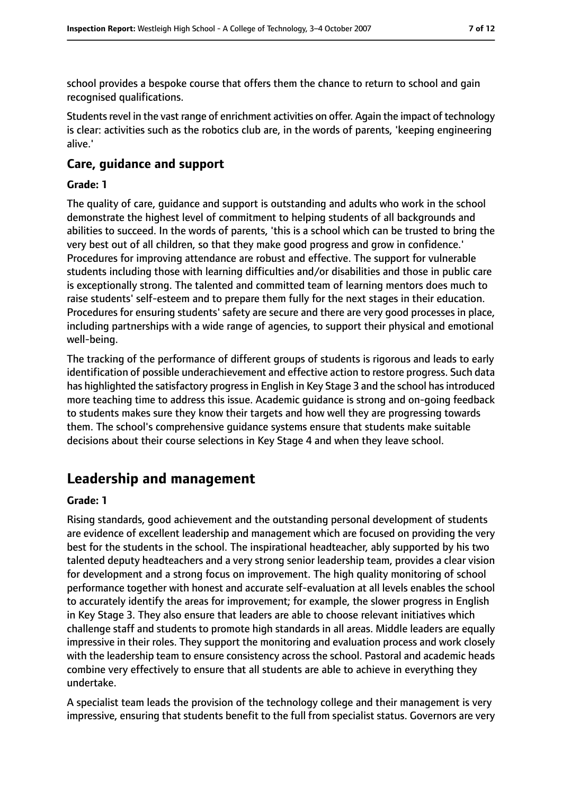school provides a bespoke course that offers them the chance to return to school and gain recognised qualifications.

Students revel in the vast range of enrichment activities on offer. Again the impact of technology is clear: activities such as the robotics club are, in the words of parents, 'keeping engineering alive.'

#### **Care, guidance and support**

#### **Grade: 1**

The quality of care, guidance and support is outstanding and adults who work in the school demonstrate the highest level of commitment to helping students of all backgrounds and abilities to succeed. In the words of parents, 'this is a school which can be trusted to bring the very best out of all children, so that they make good progress and grow in confidence.' Procedures for improving attendance are robust and effective. The support for vulnerable students including those with learning difficulties and/or disabilities and those in public care is exceptionally strong. The talented and committed team of learning mentors does much to raise students' self-esteem and to prepare them fully for the next stages in their education. Procedures for ensuring students' safety are secure and there are very good processes in place, including partnerships with a wide range of agencies, to support their physical and emotional well-being.

The tracking of the performance of different groups of students is rigorous and leads to early identification of possible underachievement and effective action to restore progress. Such data has highlighted the satisfactory progress in English in Key Stage 3 and the school has introduced more teaching time to address this issue. Academic guidance is strong and on-going feedback to students makes sure they know their targets and how well they are progressing towards them. The school's comprehensive guidance systems ensure that students make suitable decisions about their course selections in Key Stage 4 and when they leave school.

## **Leadership and management**

#### **Grade: 1**

Rising standards, good achievement and the outstanding personal development of students are evidence of excellent leadership and management which are focused on providing the very best for the students in the school. The inspirational headteacher, ably supported by his two talented deputy headteachers and a very strong senior leadership team, provides a clear vision for development and a strong focus on improvement. The high quality monitoring of school performance together with honest and accurate self-evaluation at all levels enables the school to accurately identify the areas for improvement; for example, the slower progress in English in Key Stage 3. They also ensure that leaders are able to choose relevant initiatives which challenge staff and students to promote high standards in all areas. Middle leaders are equally impressive in their roles. They support the monitoring and evaluation process and work closely with the leadership team to ensure consistency across the school. Pastoral and academic heads combine very effectively to ensure that all students are able to achieve in everything they undertake.

A specialist team leads the provision of the technology college and their management is very impressive, ensuring that students benefit to the full from specialist status. Governors are very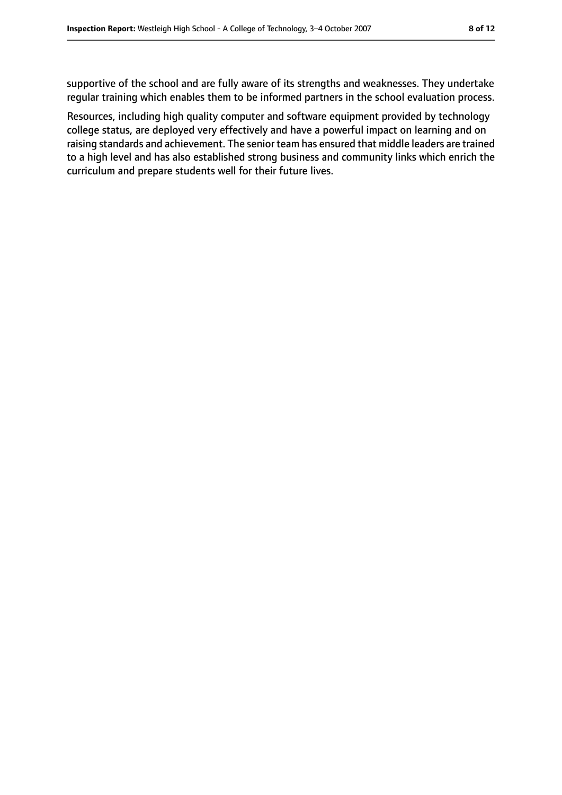supportive of the school and are fully aware of its strengths and weaknesses. They undertake regular training which enables them to be informed partners in the school evaluation process.

Resources, including high quality computer and software equipment provided by technology college status, are deployed very effectively and have a powerful impact on learning and on raising standards and achievement. The senior team has ensured that middle leaders are trained to a high level and has also established strong business and community links which enrich the curriculum and prepare students well for their future lives.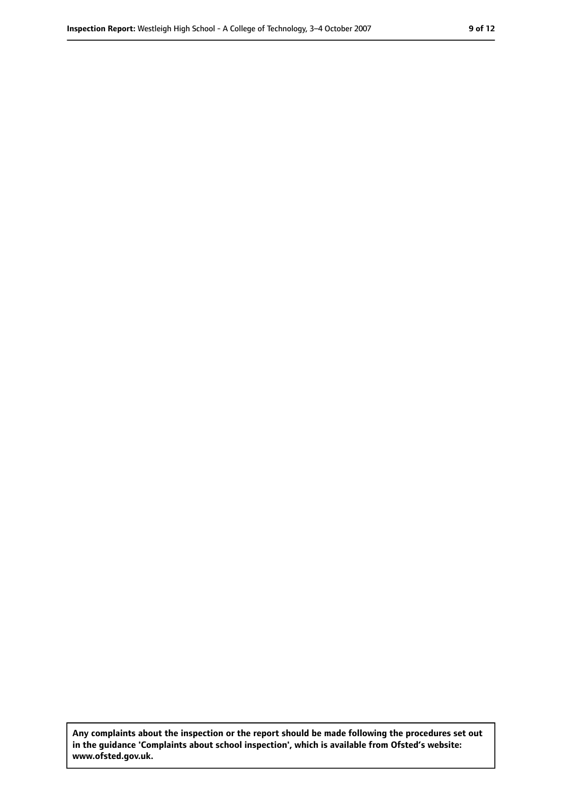**Any complaints about the inspection or the report should be made following the procedures set out in the guidance 'Complaints about school inspection', which is available from Ofsted's website: www.ofsted.gov.uk.**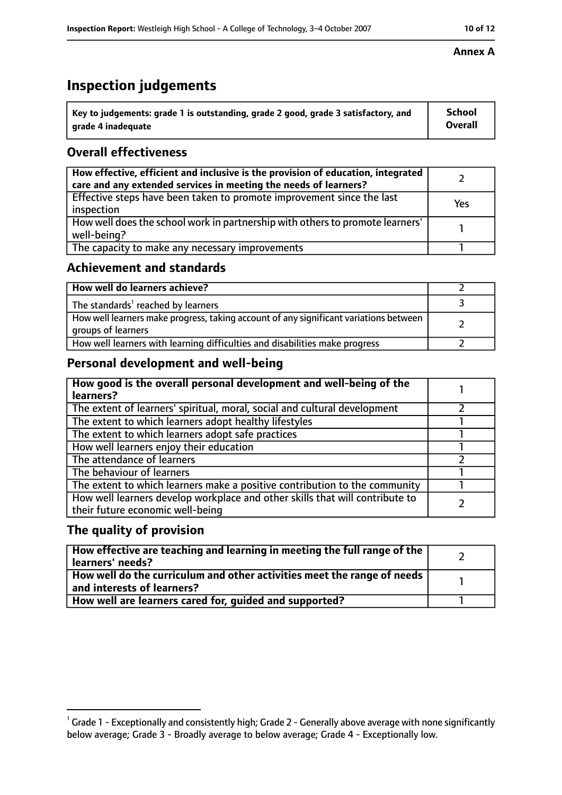## **Inspection judgements**

| $^{\backprime}$ Key to judgements: grade 1 is outstanding, grade 2 good, grade 3 satisfactory, and | <b>School</b>  |
|----------------------------------------------------------------------------------------------------|----------------|
| arade 4 inadeguate                                                                                 | <b>Overall</b> |

#### **Overall effectiveness**

| How effective, efficient and inclusive is the provision of education, integrated<br>care and any extended services in meeting the needs of learners? |     |
|------------------------------------------------------------------------------------------------------------------------------------------------------|-----|
| Effective steps have been taken to promote improvement since the last<br>inspection                                                                  | Yes |
| How well does the school work in partnership with others to promote learners'<br>well-being?                                                         |     |
| The capacity to make any necessary improvements                                                                                                      |     |

#### **Achievement and standards**

| How well do learners achieve?                                                                               |  |
|-------------------------------------------------------------------------------------------------------------|--|
| The standards <sup>1</sup> reached by learners                                                              |  |
| How well learners make progress, taking account of any significant variations between<br>groups of learners |  |
| How well learners with learning difficulties and disabilities make progress                                 |  |

### **Personal development and well-being**

| How good is the overall personal development and well-being of the<br>learners?                                  |  |
|------------------------------------------------------------------------------------------------------------------|--|
| The extent of learners' spiritual, moral, social and cultural development                                        |  |
| The extent to which learners adopt healthy lifestyles                                                            |  |
| The extent to which learners adopt safe practices                                                                |  |
| How well learners enjoy their education                                                                          |  |
| The attendance of learners                                                                                       |  |
| The behaviour of learners                                                                                        |  |
| The extent to which learners make a positive contribution to the community                                       |  |
| How well learners develop workplace and other skills that will contribute to<br>their future economic well-being |  |

#### **The quality of provision**

| How effective are teaching and learning in meeting the full range of the<br>learners' needs?          |  |
|-------------------------------------------------------------------------------------------------------|--|
| How well do the curriculum and other activities meet the range of needs<br>and interests of learners? |  |
| How well are learners cared for, guided and supported?                                                |  |

 $^1$  Grade 1 - Exceptionally and consistently high; Grade 2 - Generally above average with none significantly below average; Grade 3 - Broadly average to below average; Grade 4 - Exceptionally low.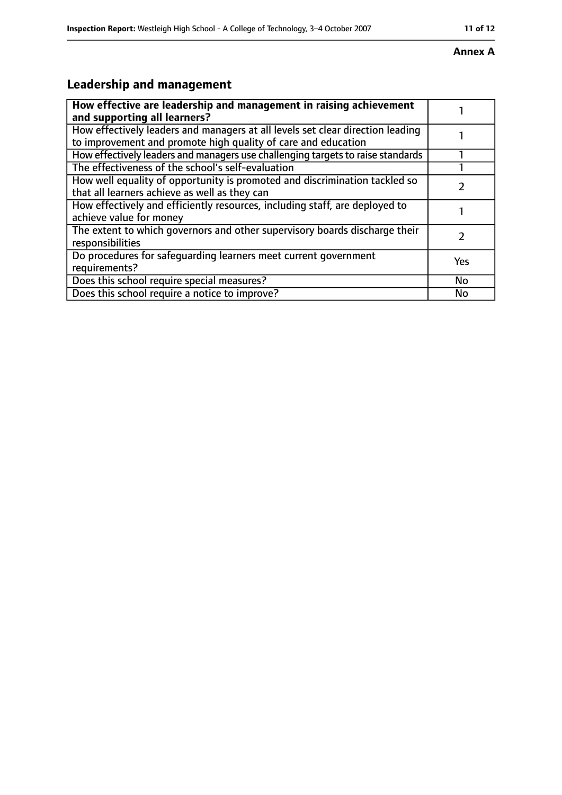## **Annex A**

## **Leadership and management**

| How effective are leadership and management in raising achievement<br>and supporting all learners?                                              |     |
|-------------------------------------------------------------------------------------------------------------------------------------------------|-----|
| How effectively leaders and managers at all levels set clear direction leading<br>to improvement and promote high quality of care and education |     |
| How effectively leaders and managers use challenging targets to raise standards                                                                 |     |
| The effectiveness of the school's self-evaluation                                                                                               |     |
| How well equality of opportunity is promoted and discrimination tackled so<br>that all learners achieve as well as they can                     |     |
| How effectively and efficiently resources, including staff, are deployed to<br>achieve value for money                                          |     |
| The extent to which governors and other supervisory boards discharge their<br>responsibilities                                                  |     |
| Do procedures for safequarding learners meet current government<br>requirements?                                                                | Yes |
| Does this school require special measures?                                                                                                      | No  |
| Does this school require a notice to improve?                                                                                                   | No  |